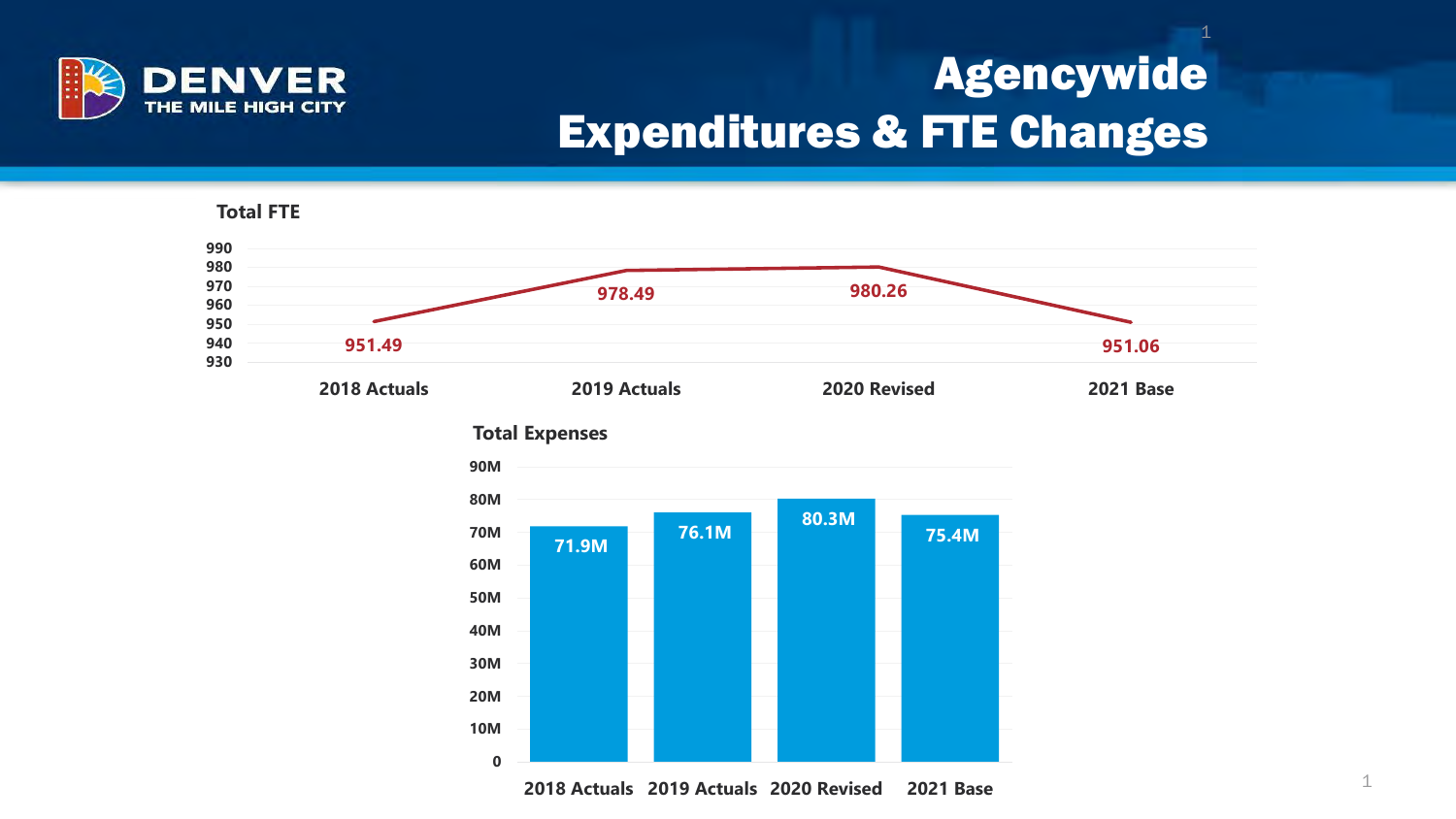

## Agencywide Expenditures & FTE Changes



**2018 Actuals 2019 Actuals 2020 Revised 2021 Base**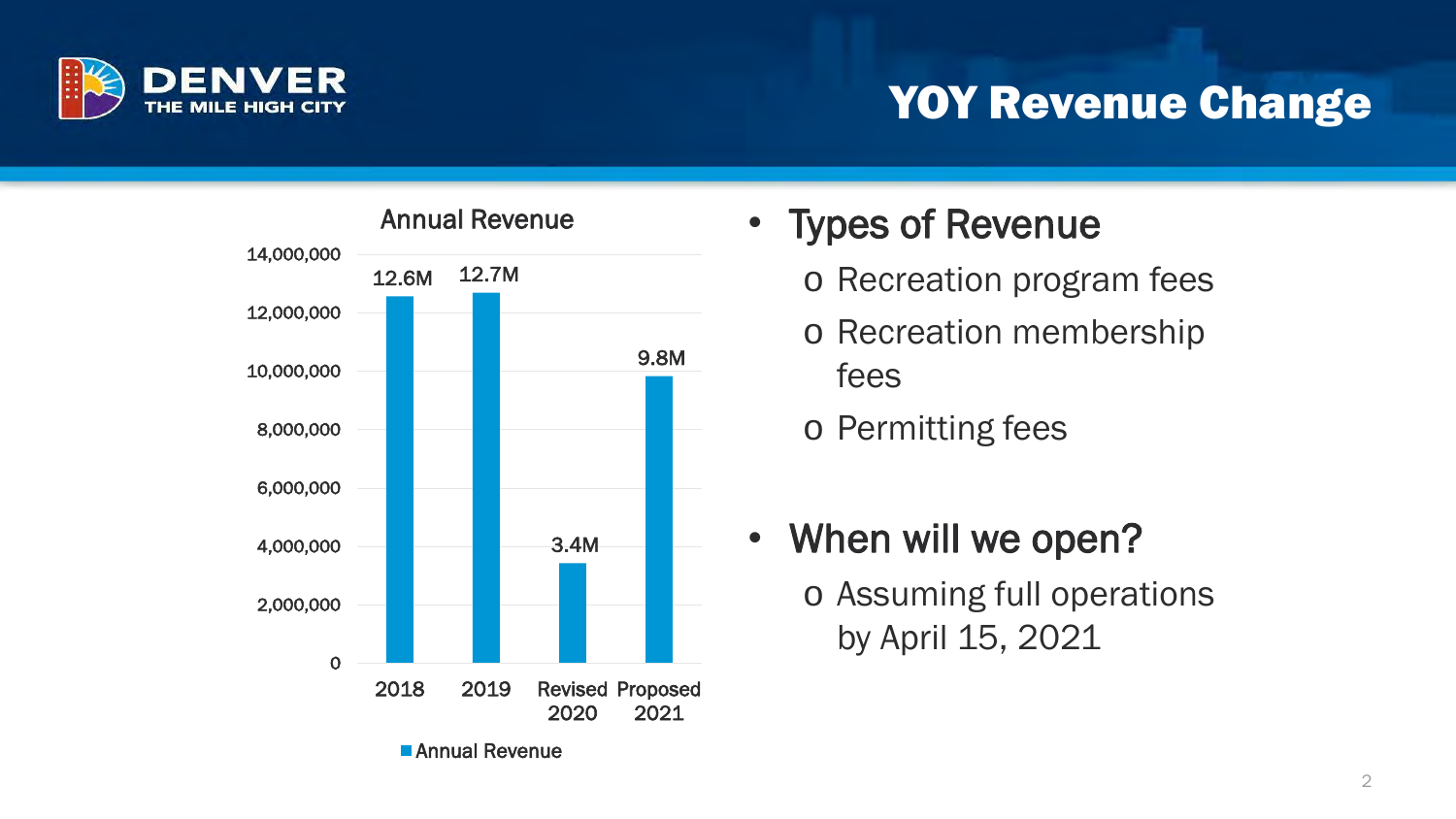

#### YOY Revenue Change



- Types of Revenue
	- o Recreation program fees
	- o Recreation membership fees
	- o Permitting fees
- When will we open? o Assuming full operations by April 15, 2021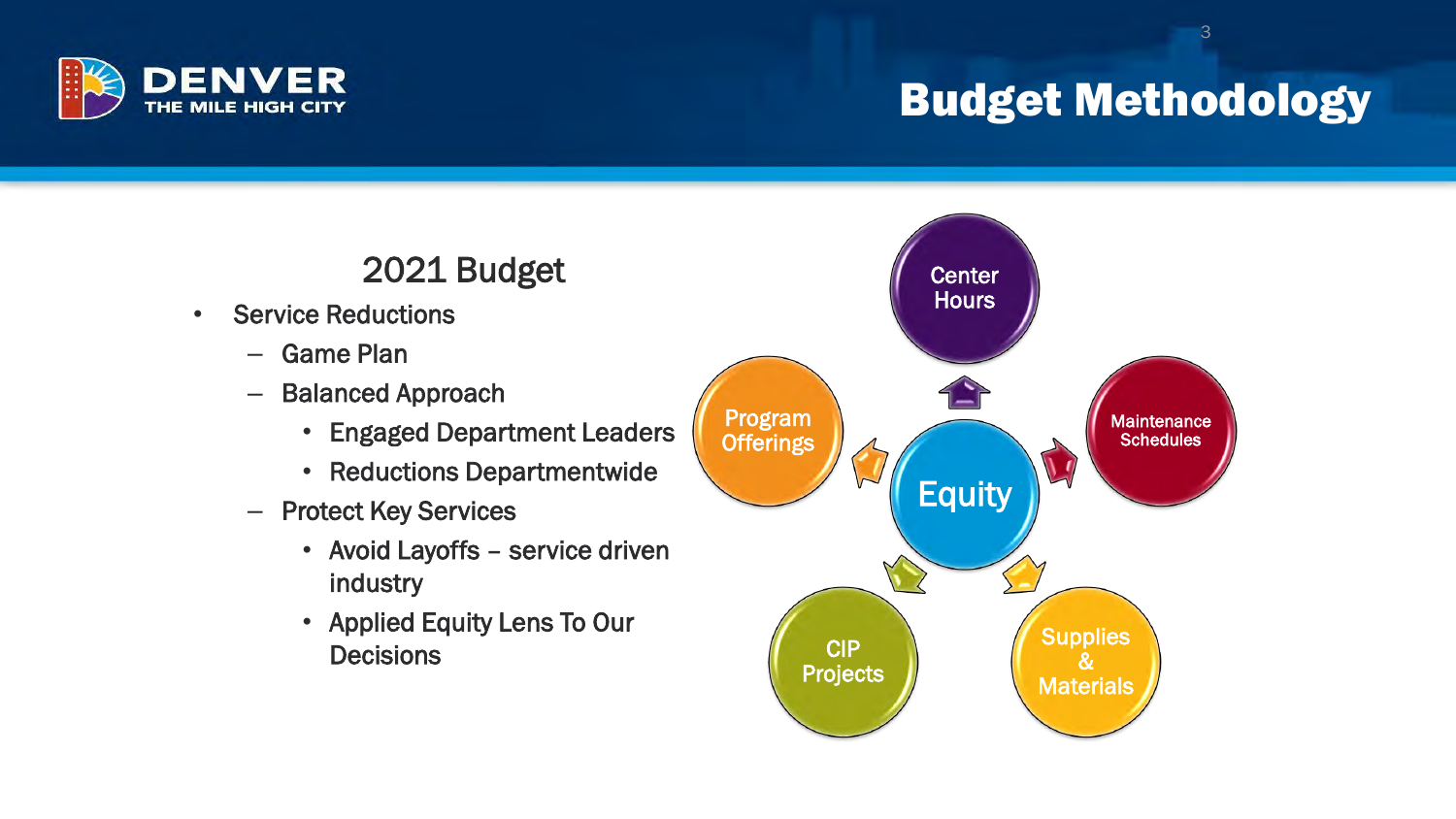

### Budget Methodology

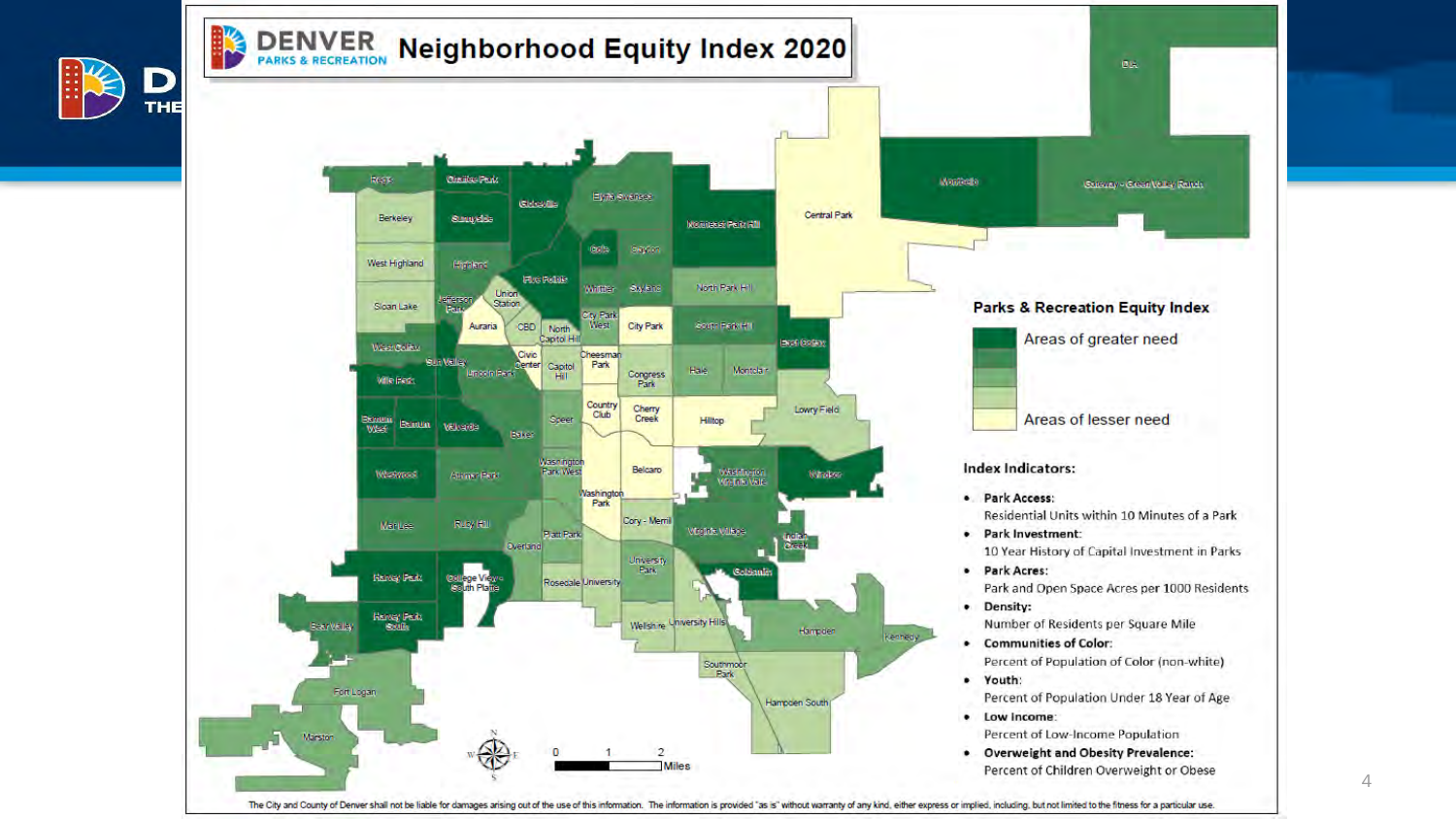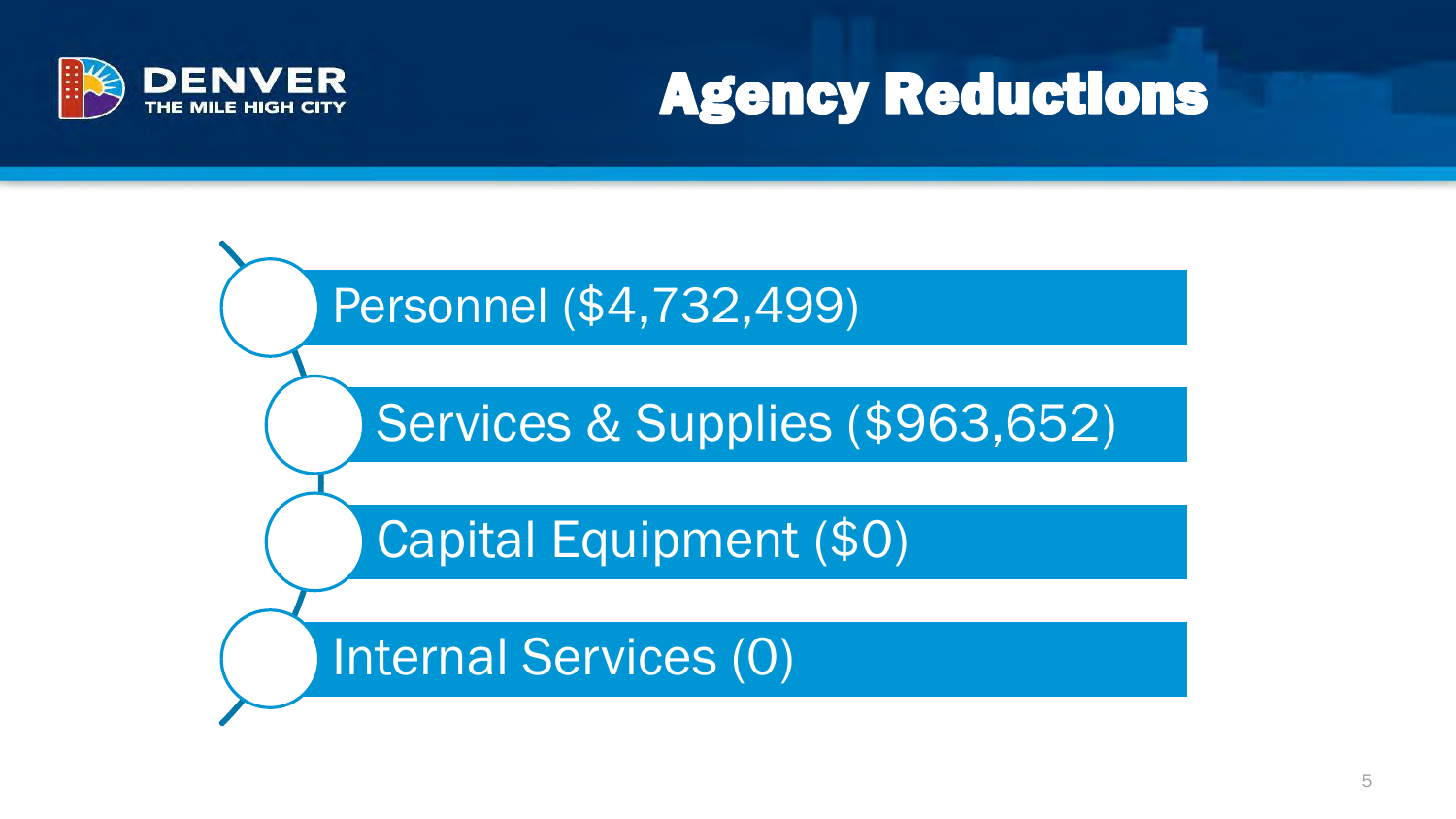

# Agency Reductions

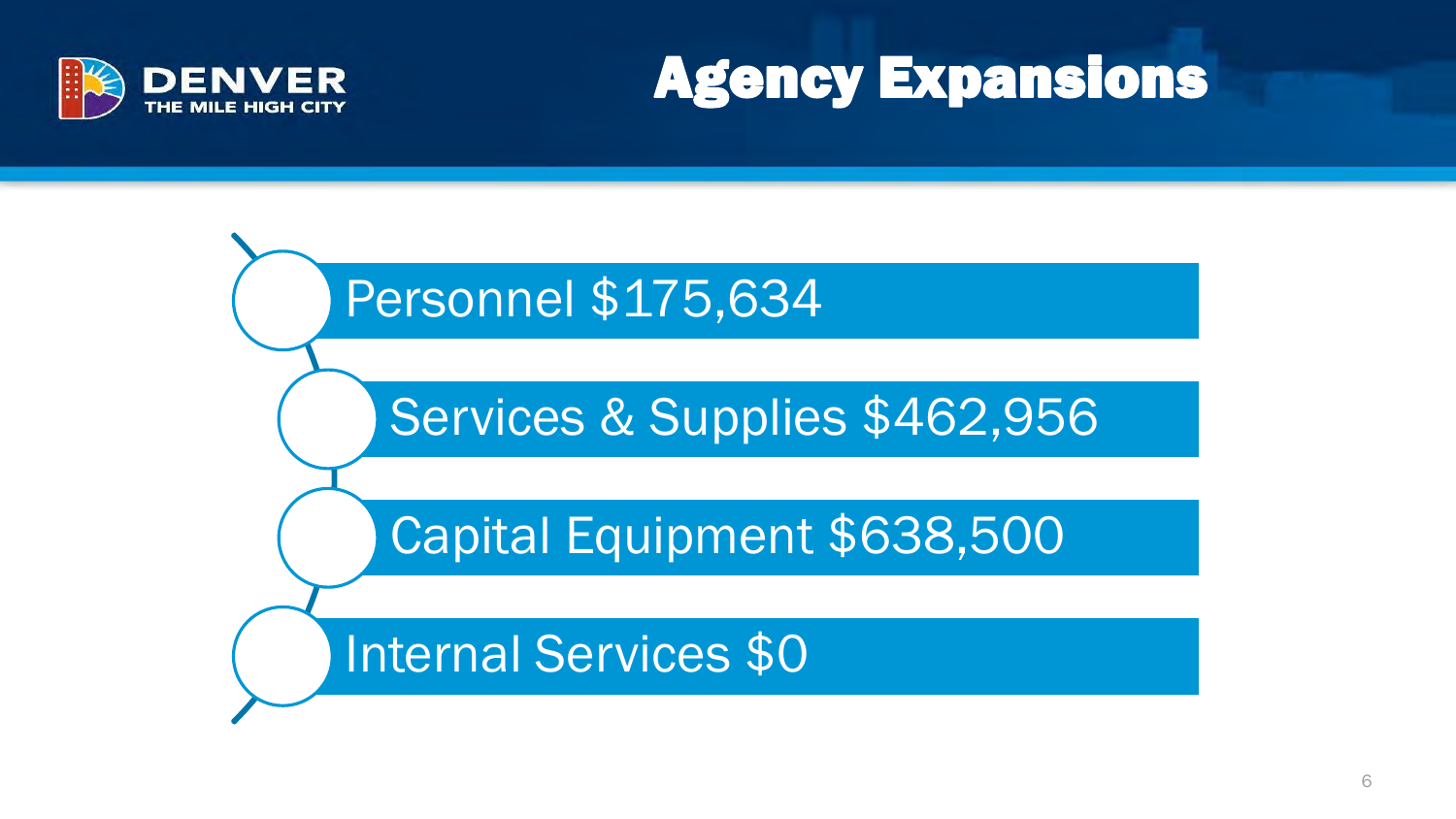



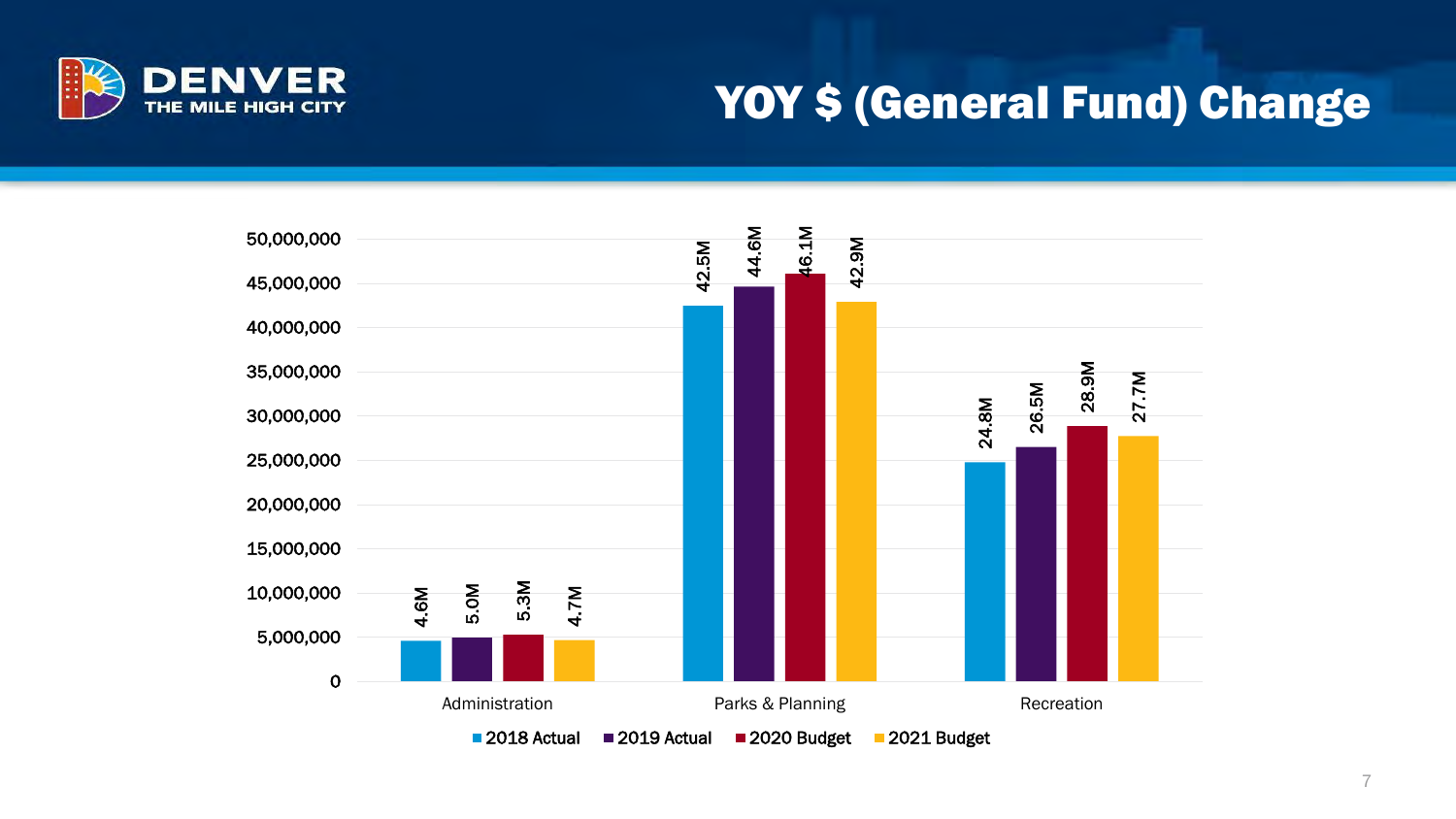

#### YOY \$ (General Fund) Change

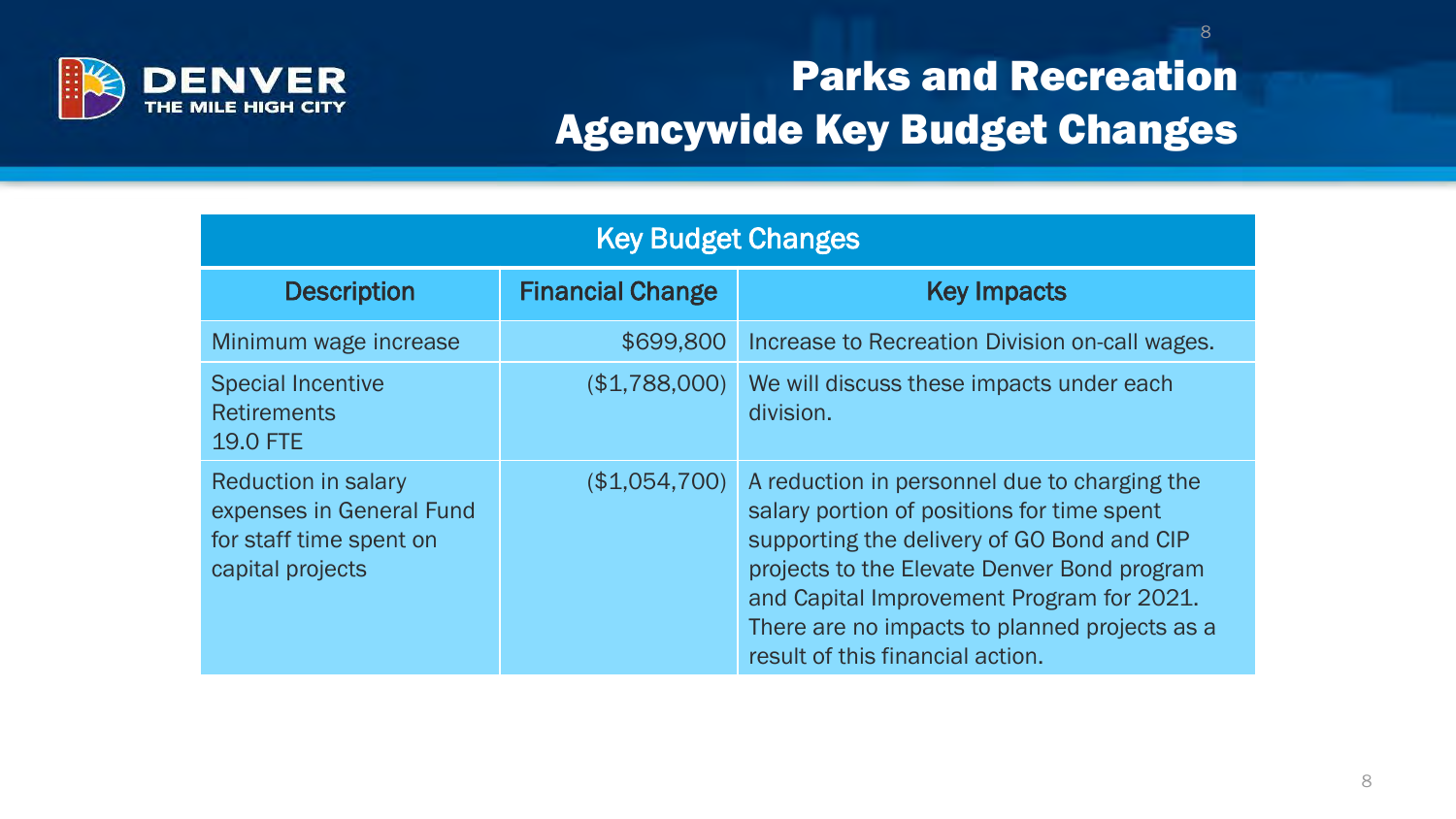

#### Parks and Recreation Agencywide Key Budget Changes

| <b>Key Budget Changes</b>                                                                             |                         |                                                                                                                                                                                                                                                                                                                           |  |
|-------------------------------------------------------------------------------------------------------|-------------------------|---------------------------------------------------------------------------------------------------------------------------------------------------------------------------------------------------------------------------------------------------------------------------------------------------------------------------|--|
| <b>Description</b>                                                                                    | <b>Financial Change</b> | <b>Key Impacts</b>                                                                                                                                                                                                                                                                                                        |  |
| Minimum wage increase                                                                                 | \$699,800               | Increase to Recreation Division on-call wages.                                                                                                                                                                                                                                                                            |  |
| <b>Special Incentive</b><br><b>Retirements</b><br><b>19.0 FTE</b>                                     | (\$1,788,000)           | We will discuss these impacts under each<br>division.                                                                                                                                                                                                                                                                     |  |
| <b>Reduction in salary</b><br>expenses in General Fund<br>for staff time spent on<br>capital projects | (\$1,054,700)           | A reduction in personnel due to charging the<br>salary portion of positions for time spent<br>supporting the delivery of GO Bond and CIP<br>projects to the Elevate Denver Bond program<br>and Capital Improvement Program for 2021.<br>There are no impacts to planned projects as a<br>result of this financial action. |  |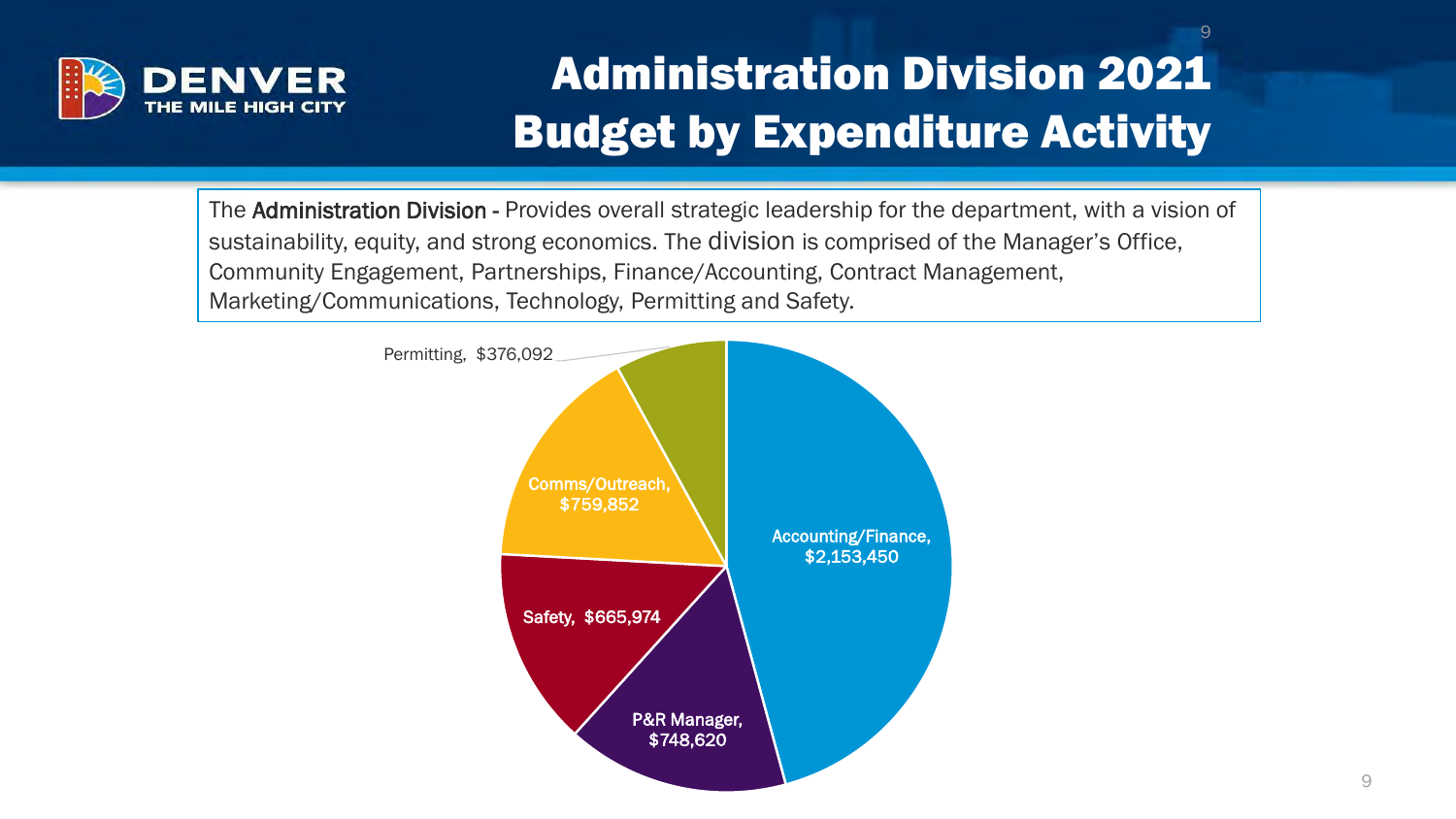

## Administration Division 2021 Budget by Expenditure Activity

The Administration Division - Provides overall strategic leadership for the department, with a vision of sustainability, equity, and strong economics. The division is comprised of the Manager's Office, Community Engagement, Partnerships, Finance/Accounting, Contract Management, Marketing/Communications, Technology, Permitting and Safety.

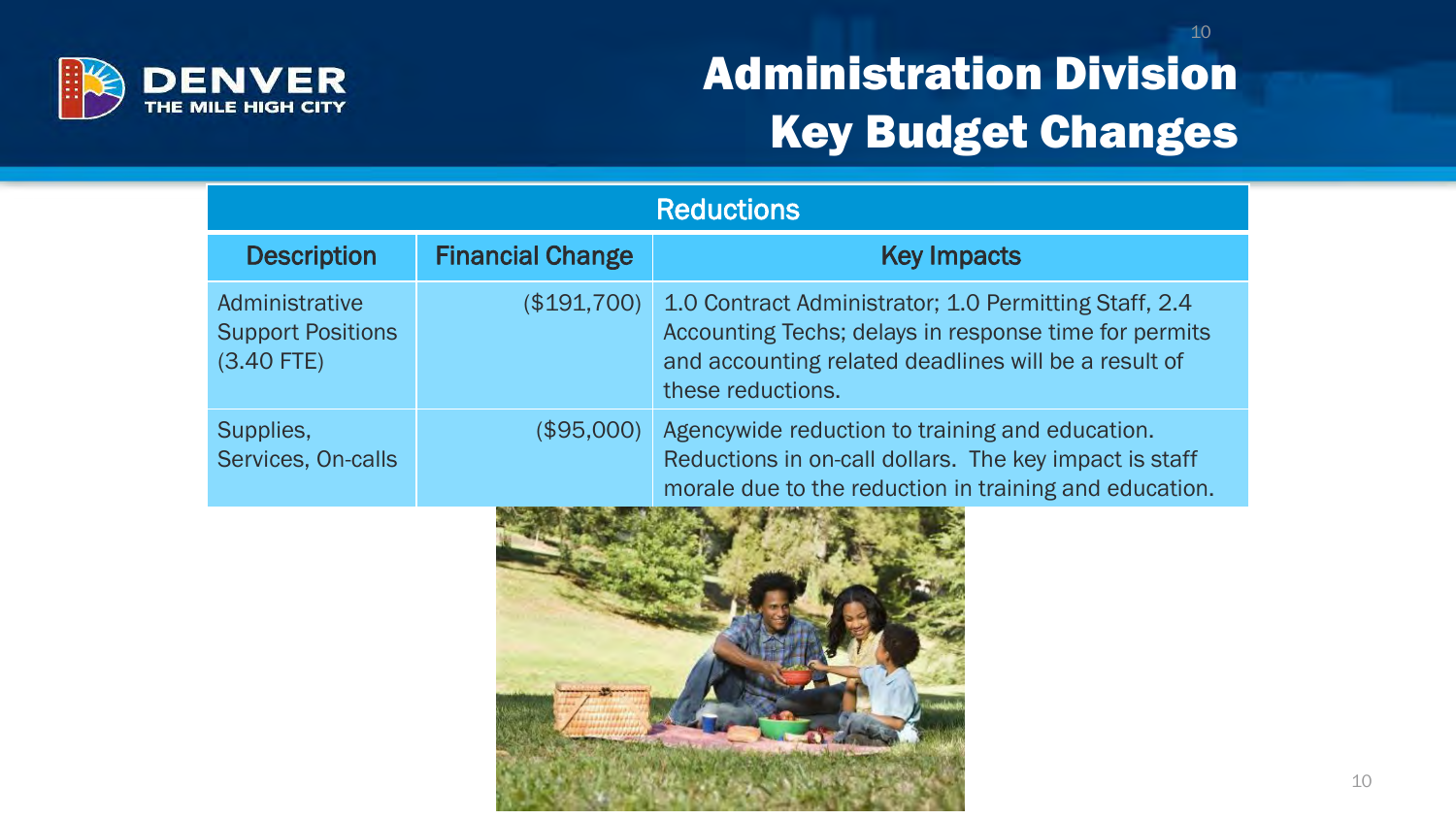

### Administration Division Key Budget Changes

| <b>Reductions</b>                                          |                         |                                                                                                                                                                                             |  |
|------------------------------------------------------------|-------------------------|---------------------------------------------------------------------------------------------------------------------------------------------------------------------------------------------|--|
| <b>Description</b>                                         | <b>Financial Change</b> | <b>Key Impacts</b>                                                                                                                                                                          |  |
| Administrative<br><b>Support Positions</b><br>$(3.40$ FTE) | (\$191,700)             | 1.0 Contract Administrator; 1.0 Permitting Staff, 2.4<br>Accounting Techs; delays in response time for permits<br>and accounting related deadlines will be a result of<br>these reductions. |  |
| Supplies,<br>Services, On-calls                            | (\$95,000)              | Agencywide reduction to training and education.<br>Reductions in on-call dollars. The key impact is staff<br>morale due to the reduction in training and education.                         |  |

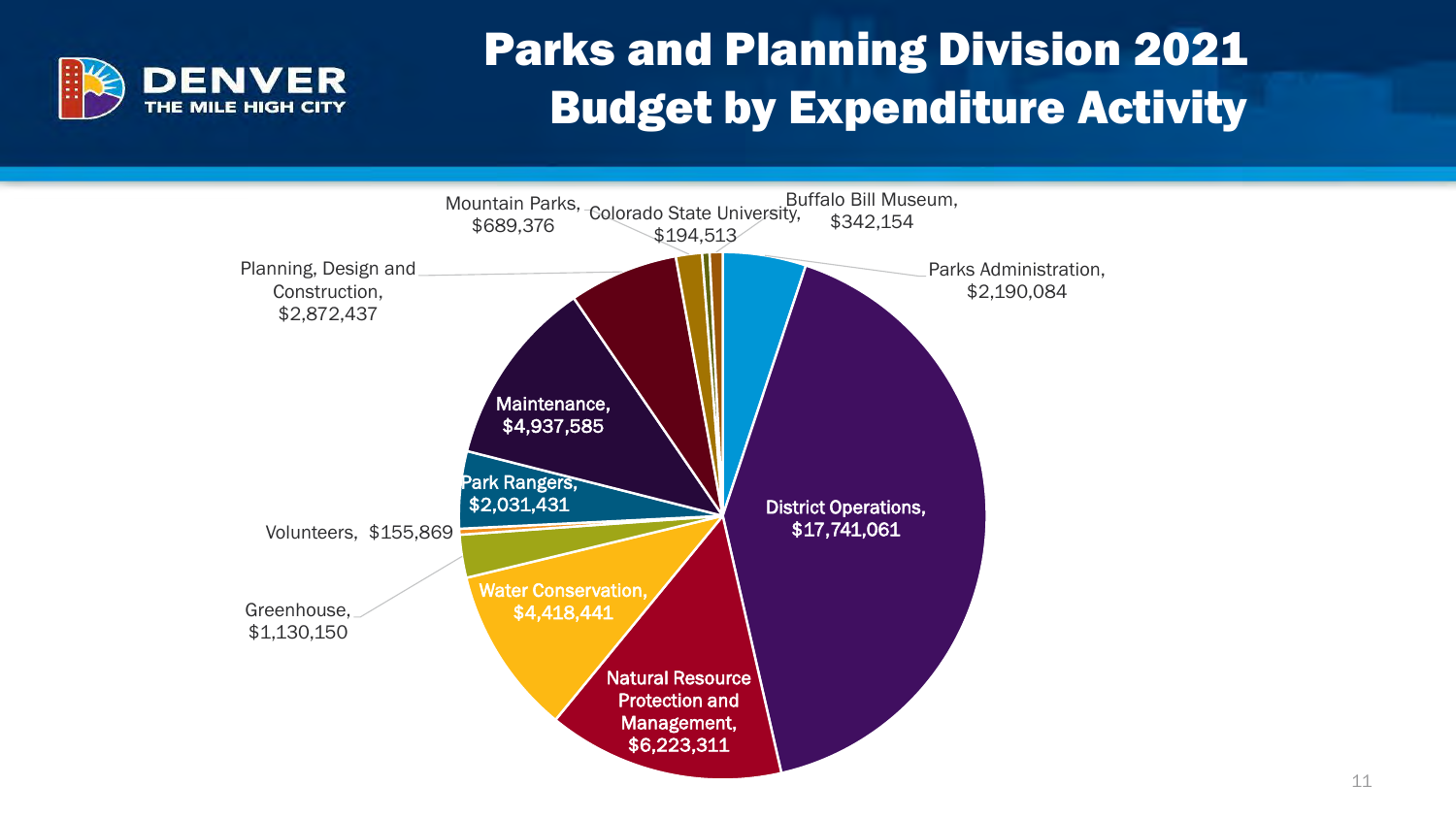

### Parks and Planning Division 2021 Budget by Expenditure Activity

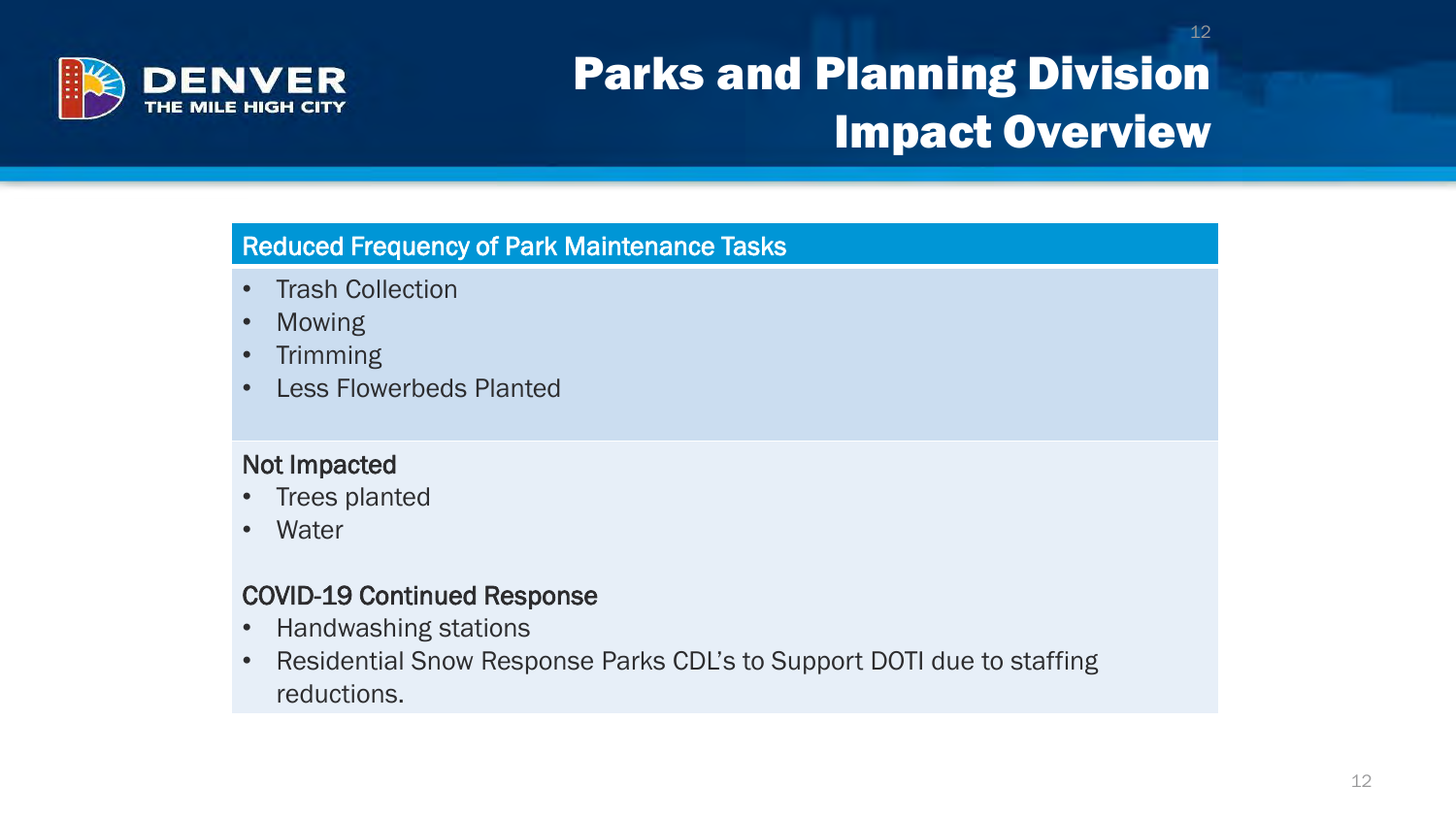

## Parks and Planning Division Impact Overview

#### Reduced Frequency of Park Maintenance Tasks

- Trash Collection
- Mowing
- Trimming
- Less Flowerbeds Planted

#### Not Impacted

- Trees planted
- Water

#### COVID-19 Continued Response

- Handwashing stations
- Residential Snow Response Parks CDL's to Support DOTI due to staffing reductions.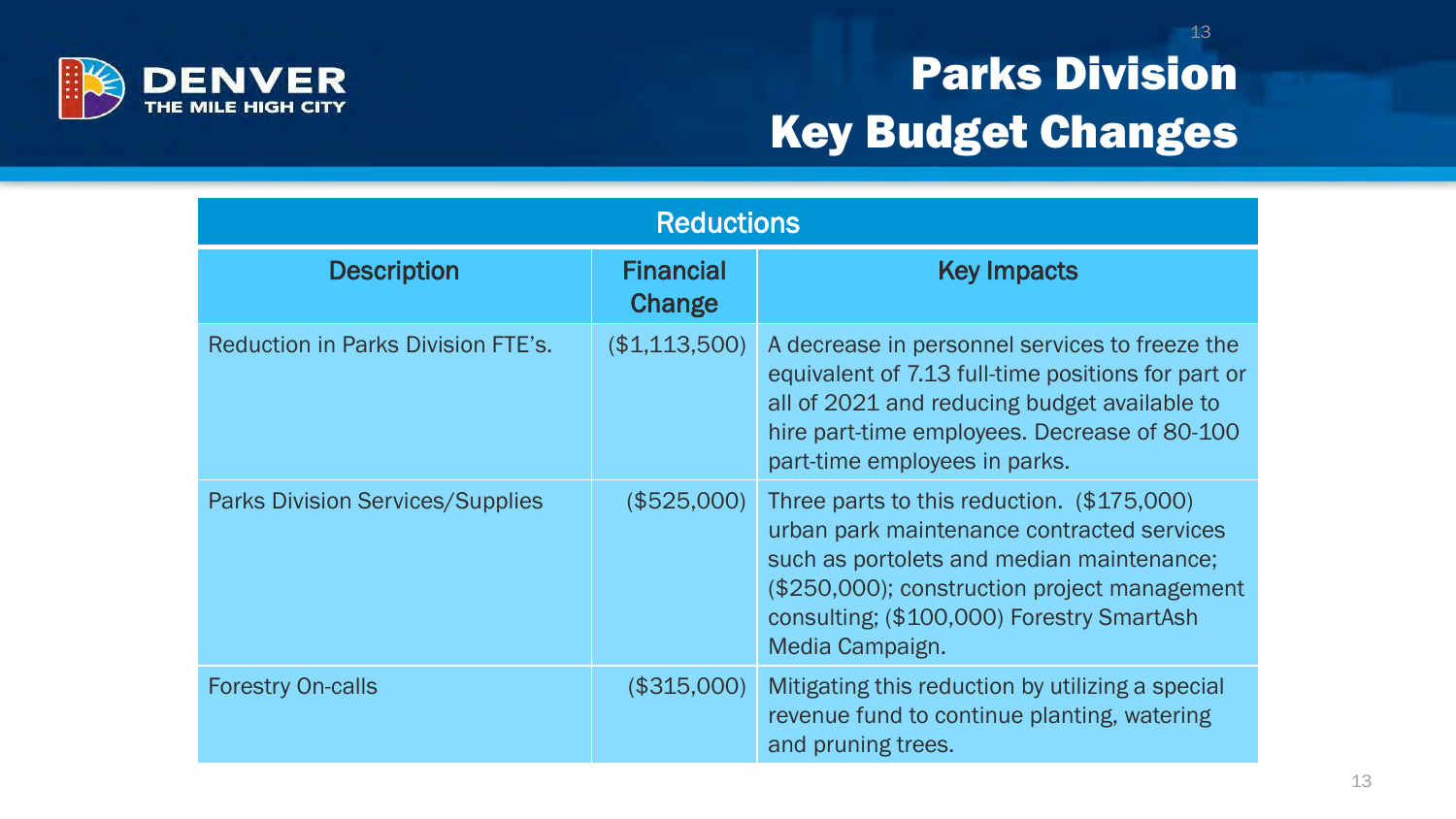

## Parks Division Key Budget Changes

| <b>Reductions</b>                       |                            |                                                                                                                                                                                                                                                       |  |
|-----------------------------------------|----------------------------|-------------------------------------------------------------------------------------------------------------------------------------------------------------------------------------------------------------------------------------------------------|--|
| <b>Description</b>                      | <b>Financial</b><br>Change | <b>Key Impacts</b>                                                                                                                                                                                                                                    |  |
| Reduction in Parks Division FTE's.      | (\$1,113,500)              | A decrease in personnel services to freeze the<br>equivalent of 7.13 full-time positions for part or<br>all of 2021 and reducing budget available to<br>hire part-time employees. Decrease of 80-100<br>part-time employees in parks.                 |  |
| <b>Parks Division Services/Supplies</b> | (\$525,000)                | Three parts to this reduction. (\$175,000)<br>urban park maintenance contracted services<br>such as portolets and median maintenance;<br>(\$250,000); construction project management<br>consulting; (\$100,000) Forestry SmartAsh<br>Media Campaign. |  |
| <b>Forestry On-calls</b>                | (\$315,000)                | Mitigating this reduction by utilizing a special<br>revenue fund to continue planting, watering<br>and pruning trees.                                                                                                                                 |  |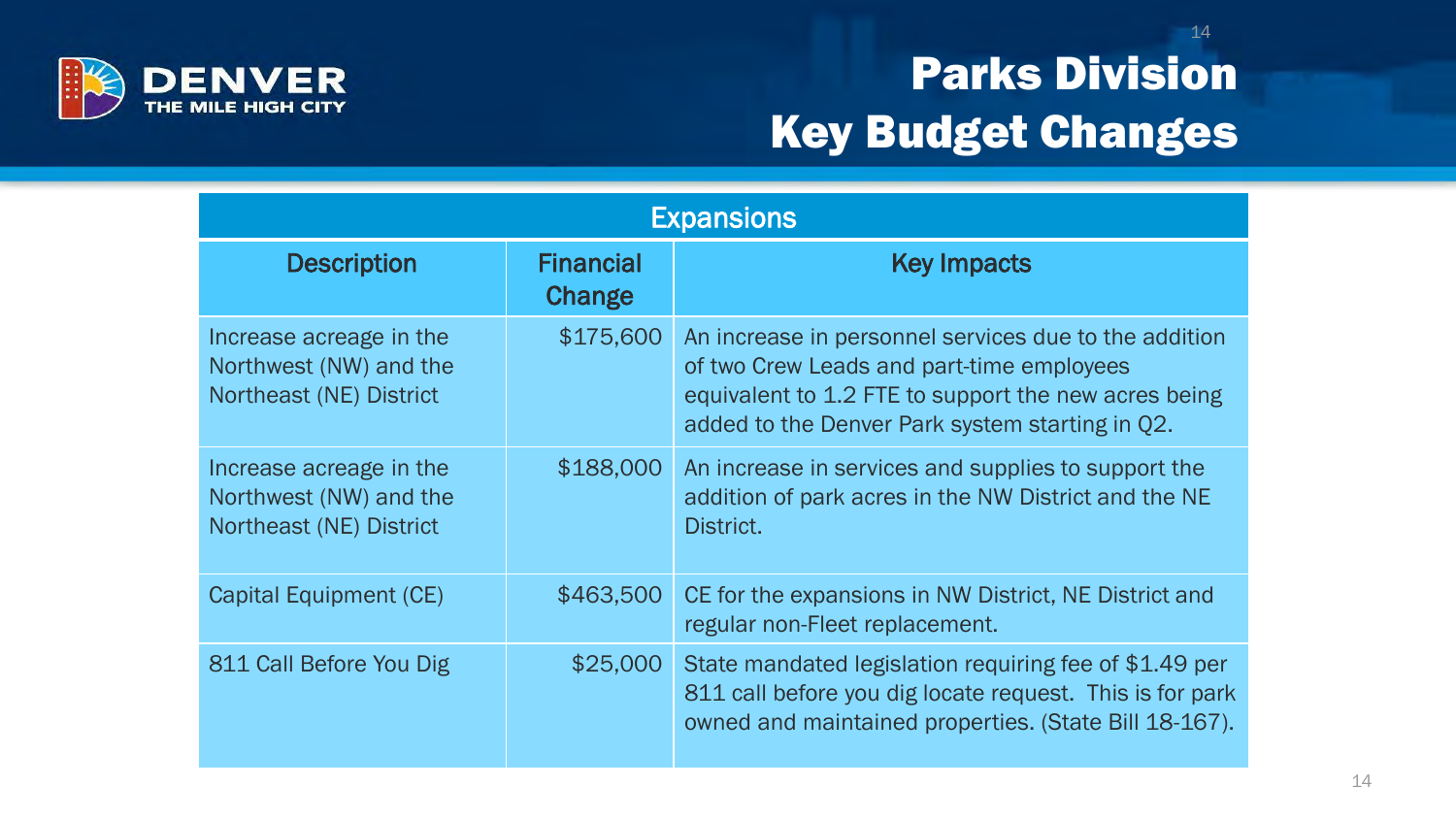

## Parks Division Key Budget Changes

| <b>Expansions</b>                                                            |                            |                                                                                                                                                                                                               |  |
|------------------------------------------------------------------------------|----------------------------|---------------------------------------------------------------------------------------------------------------------------------------------------------------------------------------------------------------|--|
| <b>Description</b>                                                           | <b>Financial</b><br>Change | <b>Key Impacts</b>                                                                                                                                                                                            |  |
| Increase acreage in the<br>Northwest (NW) and the<br>Northeast (NE) District | \$175,600                  | An increase in personnel services due to the addition<br>of two Crew Leads and part-time employees<br>equivalent to 1.2 FTE to support the new acres being<br>added to the Denver Park system starting in Q2. |  |
| Increase acreage in the<br>Northwest (NW) and the<br>Northeast (NE) District | \$188,000                  | An increase in services and supplies to support the<br>addition of park acres in the NW District and the NE<br>District.                                                                                      |  |
| Capital Equipment (CE)                                                       | \$463,500                  | CE for the expansions in NW District, NE District and<br>regular non-Fleet replacement.                                                                                                                       |  |
| 811 Call Before You Dig                                                      | \$25,000                   | State mandated legislation requiring fee of \$1.49 per<br>811 call before you dig locate request. This is for park<br>owned and maintained properties. (State Bill 18-167).                                   |  |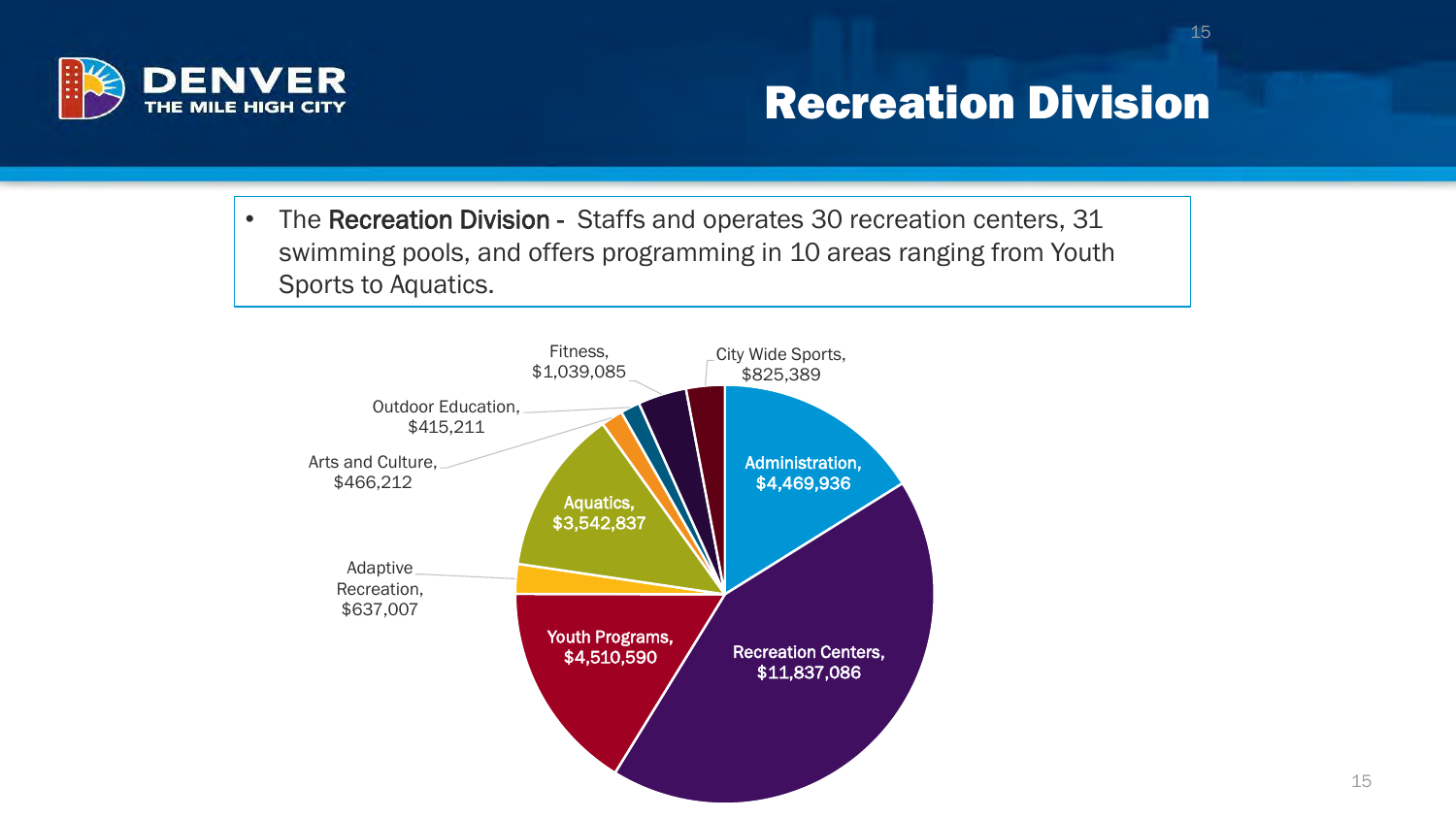

#### Recreation Division

15

• The Recreation Division - Staffs and operates 30 recreation centers, 31 swimming pools, and offers programming in 10 areas ranging from Youth Sports to Aquatics.

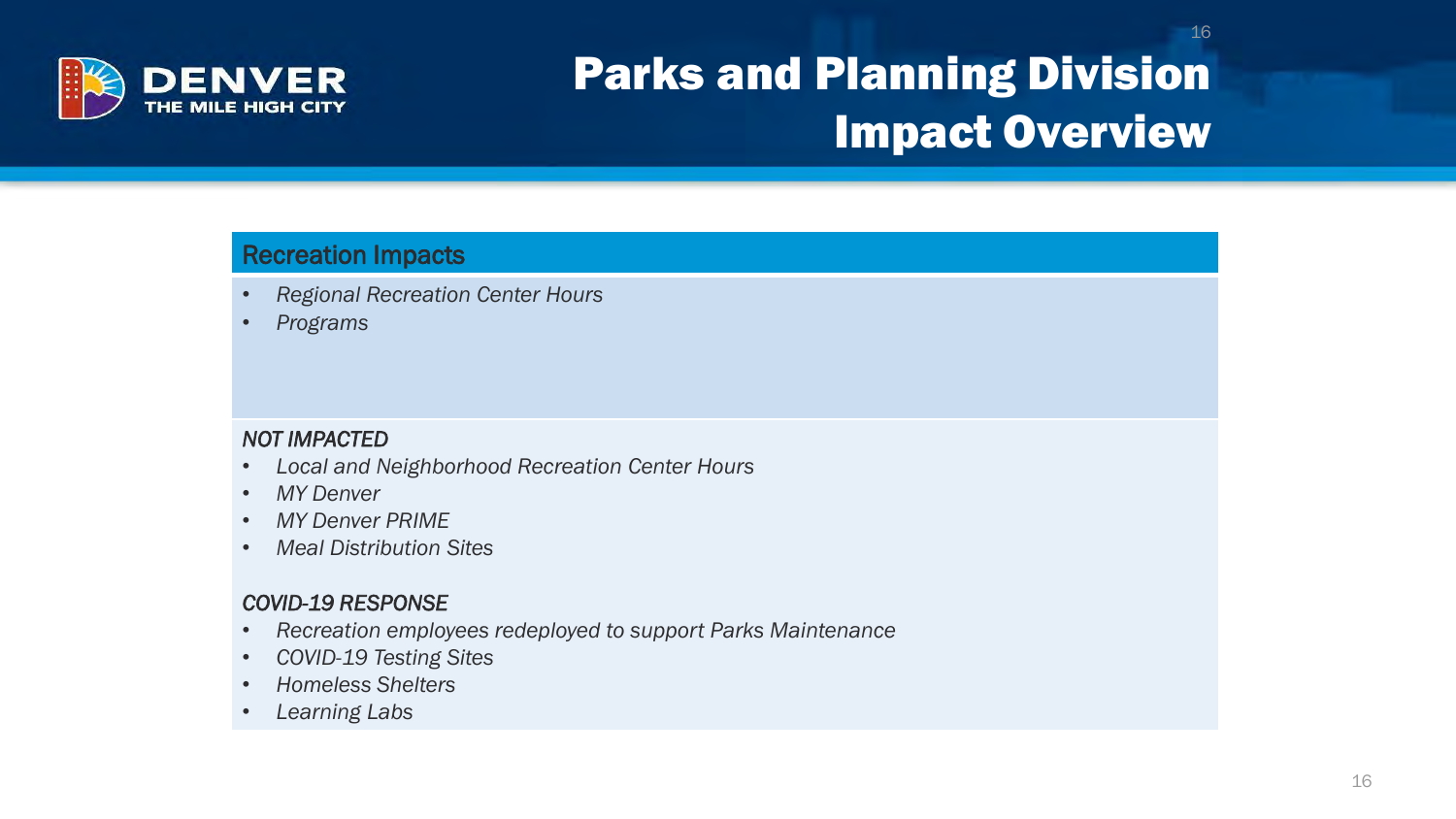

### Parks and Planning Division Impact Overview

#### Recreation Impacts

- *Regional Recreation Center Hours*
- *Programs*

#### *NOT IMPACTED*

- *Local and Neighborhood Recreation Center Hours*
- *MY Denver*
- *MY Denver PRIME*
- *Meal Distribution Sites*

#### *COVID-19 RESPONSE*

- *Recreation employees redeployed to support Parks Maintenance*
- *COVID-19 Testing Sites*
- *Homeless Shelters*
- *Learning Labs*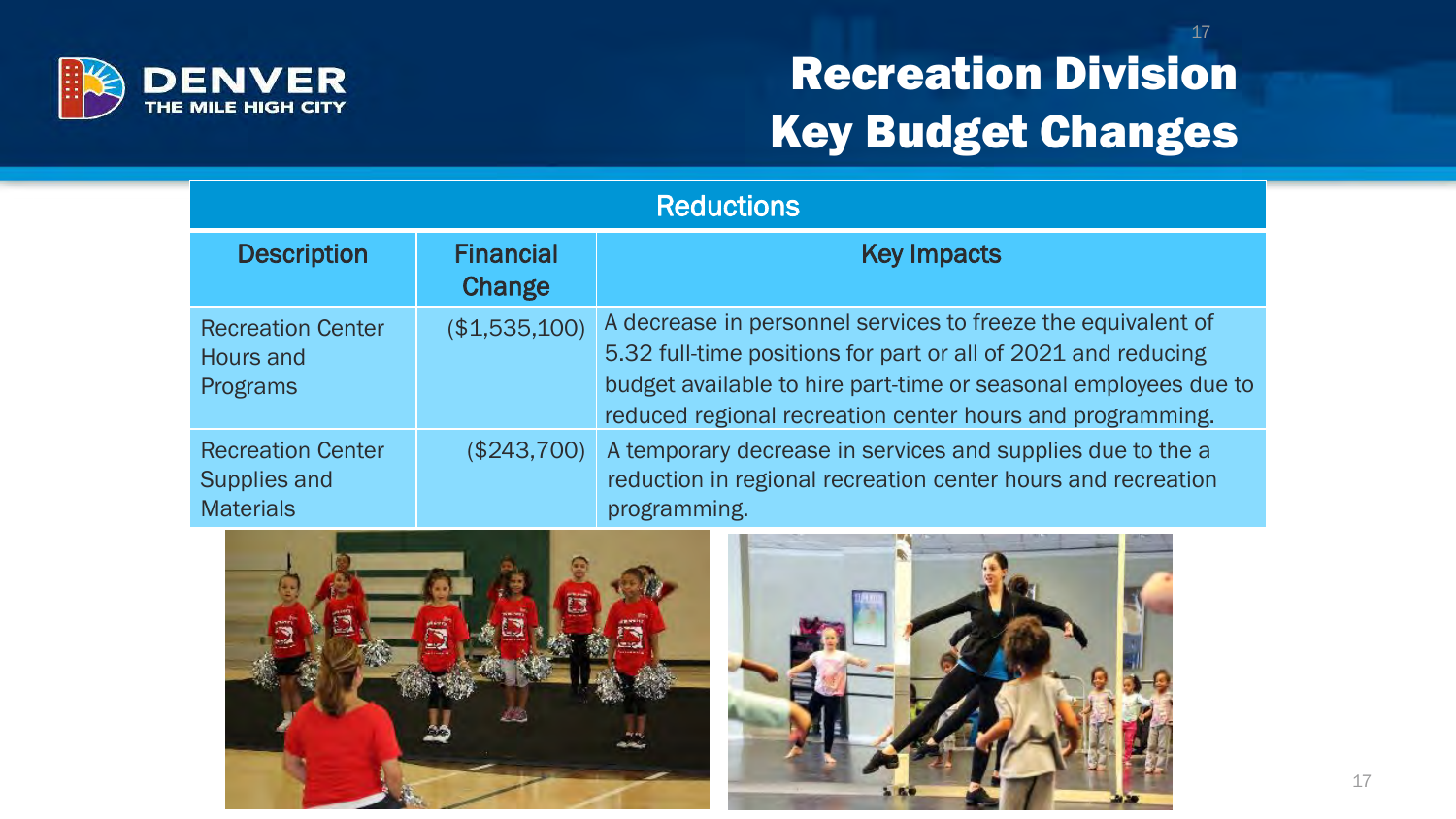

### Recreation Division Key Budget Changes

| <b>Reductions</b>                                            |                            |                                                                                                                                                                                                                                                               |  |
|--------------------------------------------------------------|----------------------------|---------------------------------------------------------------------------------------------------------------------------------------------------------------------------------------------------------------------------------------------------------------|--|
| <b>Description</b>                                           | <b>Financial</b><br>Change | <b>Key Impacts</b>                                                                                                                                                                                                                                            |  |
| <b>Recreation Center</b><br>Hours and<br>Programs            | (\$1,535,100)              | A decrease in personnel services to freeze the equivalent of<br>5.32 full-time positions for part or all of 2021 and reducing<br>budget available to hire part-time or seasonal employees due to<br>reduced regional recreation center hours and programming. |  |
| <b>Recreation Center</b><br>Supplies and<br><b>Materials</b> | (\$243,700)                | A temporary decrease in services and supplies due to the a<br>reduction in regional recreation center hours and recreation<br>programming.                                                                                                                    |  |



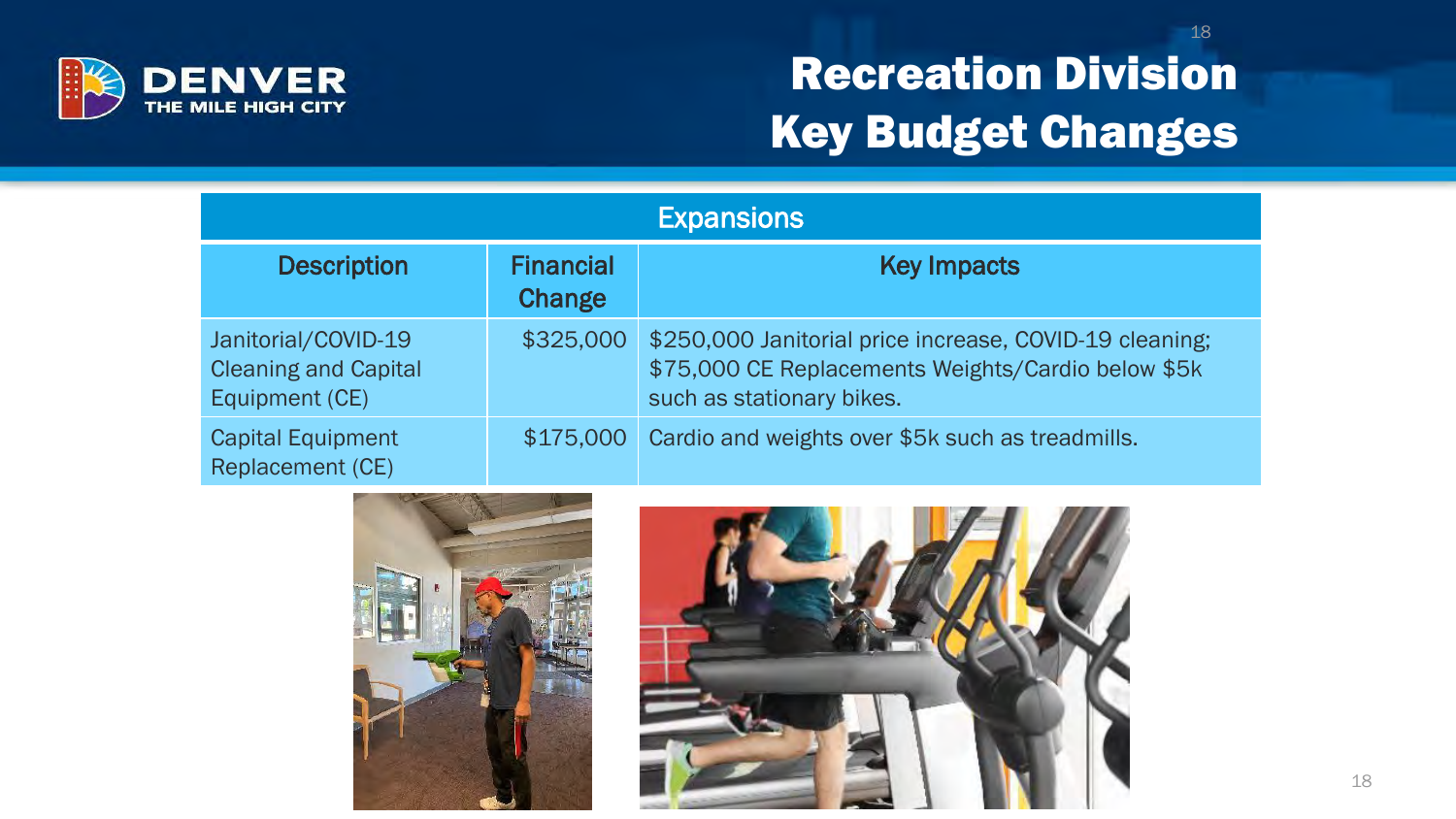

### Recreation Division Key Budget Changes

| <b>Expansions</b>                                                    |                            |                                                                                                                                            |  |
|----------------------------------------------------------------------|----------------------------|--------------------------------------------------------------------------------------------------------------------------------------------|--|
| <b>Description</b>                                                   | <b>Financial</b><br>Change | <b>Key Impacts</b>                                                                                                                         |  |
| Janitorial/COVID-19<br><b>Cleaning and Capital</b><br>Equipment (CE) | \$325,000                  | \$250,000 Janitorial price increase, COVID-19 cleaning;<br>\$75,000 CE Replacements Weights/Cardio below \$5k<br>such as stationary bikes. |  |
| <b>Capital Equipment</b><br><b>Replacement (CE)</b>                  | \$175,000                  | Cardio and weights over \$5k such as treadmills.                                                                                           |  |



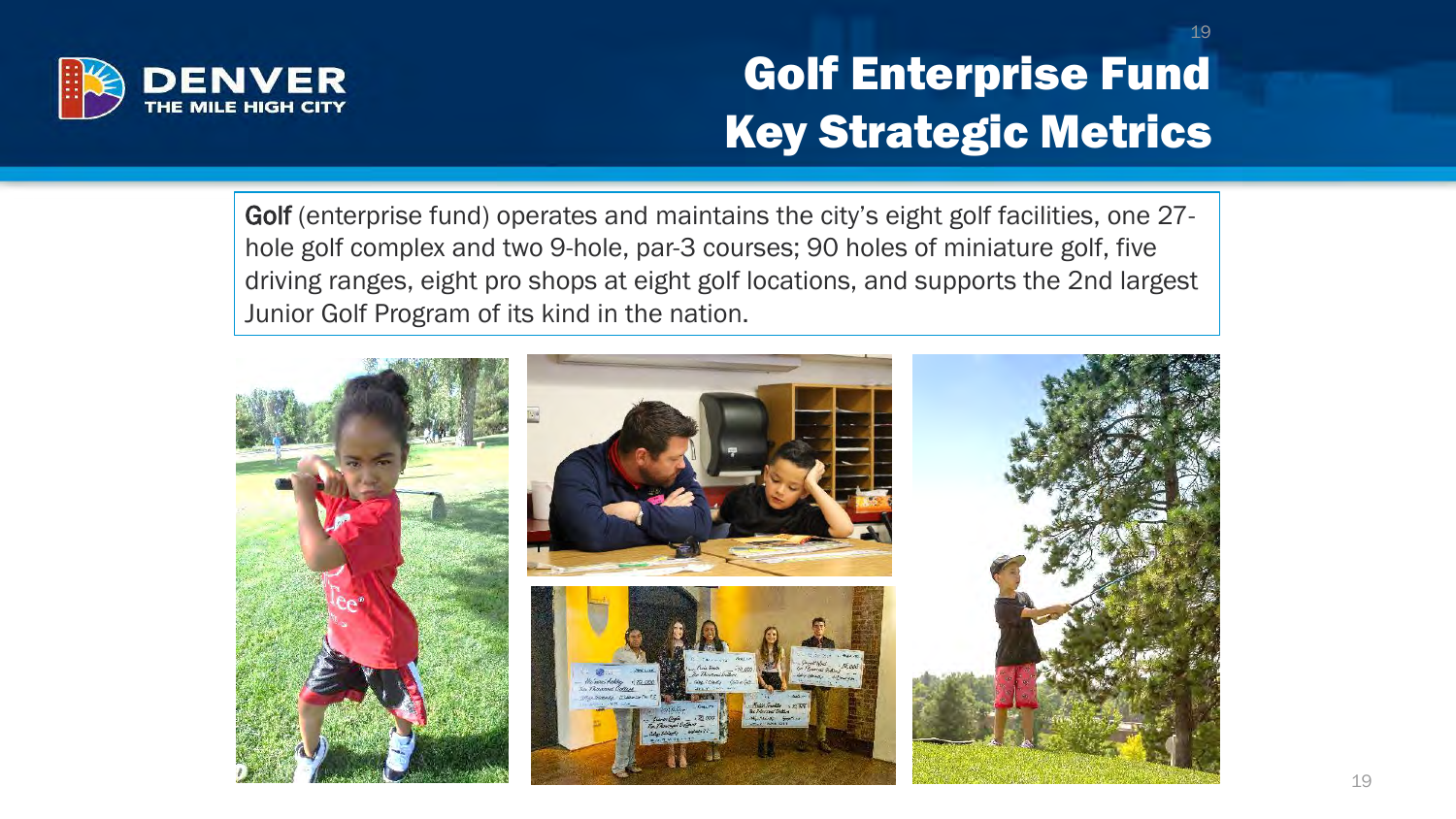

## Golf Enterprise Fund Key Strategic Metrics

19

Golf (enterprise fund) operates and maintains the city's eight golf facilities, one 27 hole golf complex and two 9-hole, par-3 courses; 90 holes of miniature golf, five driving ranges, eight pro shops at eight golf locations, and supports the 2nd largest Junior Golf Program of its kind in the nation.

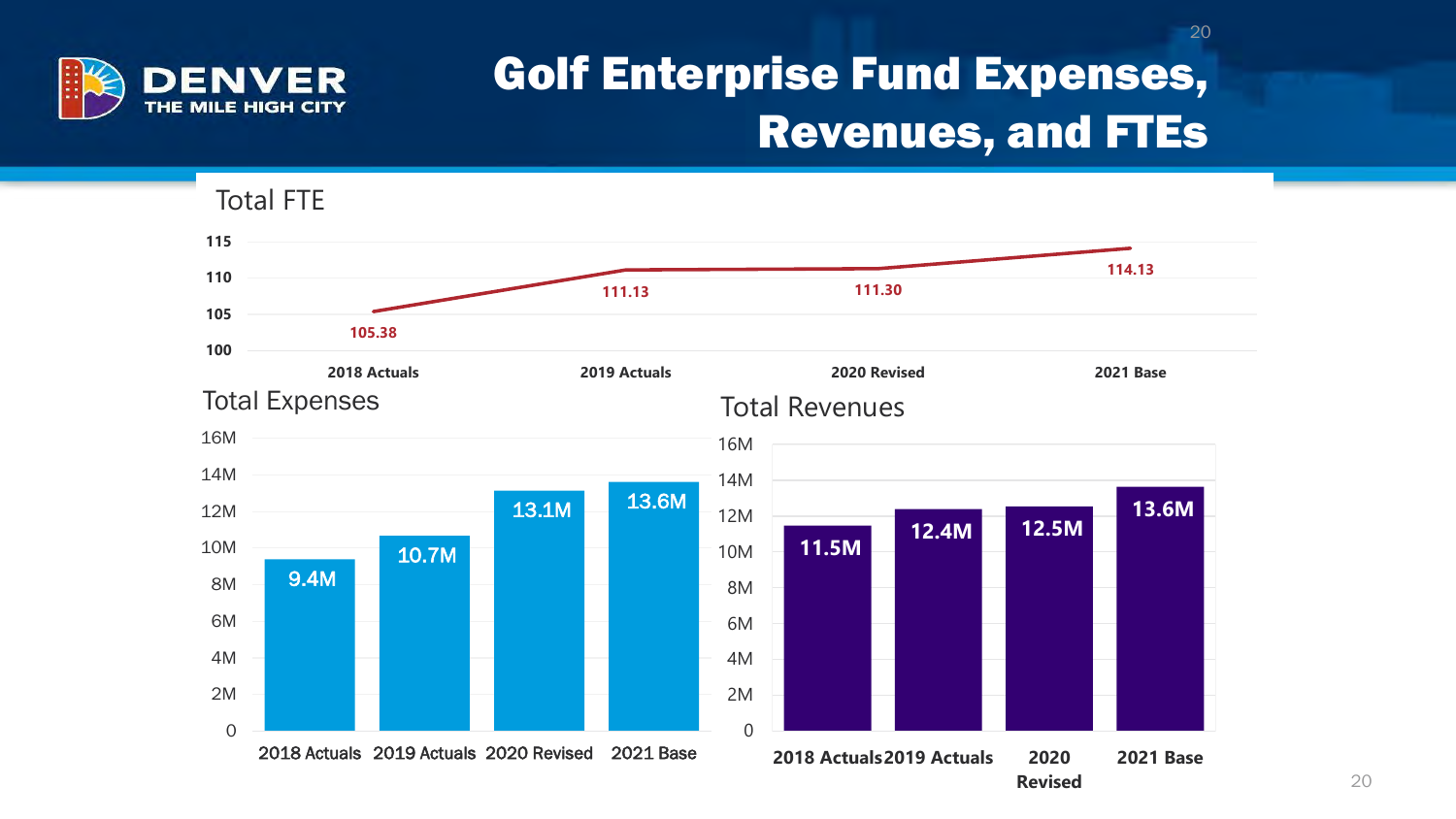

#### Golf Enterprise Fund Expenses, Revenues, and FTEs

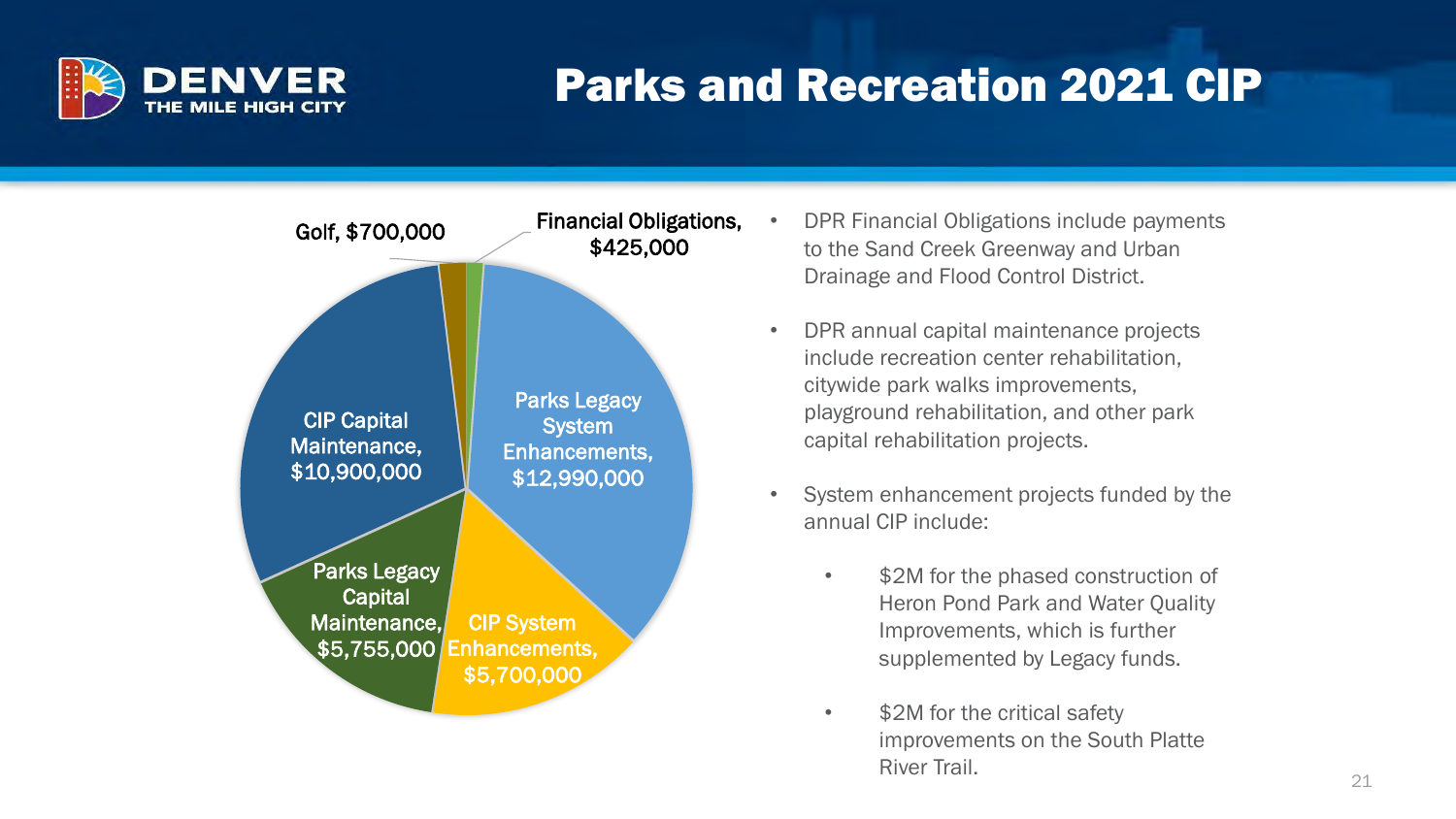

#### Parks and Recreation 2021 CIP



- DPR Financial Obligations include payments to the Sand Creek Greenway and Urban Drainage and Flood Control District.
- DPR annual capital maintenance projects include recreation center rehabilitation, citywide park walks improvements, playground rehabilitation, and other park capital rehabilitation projects.
- System enhancement projects funded by the annual CIP include:
	- \$2M for the phased construction of Heron Pond Park and Water Quality Improvements, which is further supplemented by Legacy funds.
	- \$2M for the critical safety improvements on the South Platte River Trail.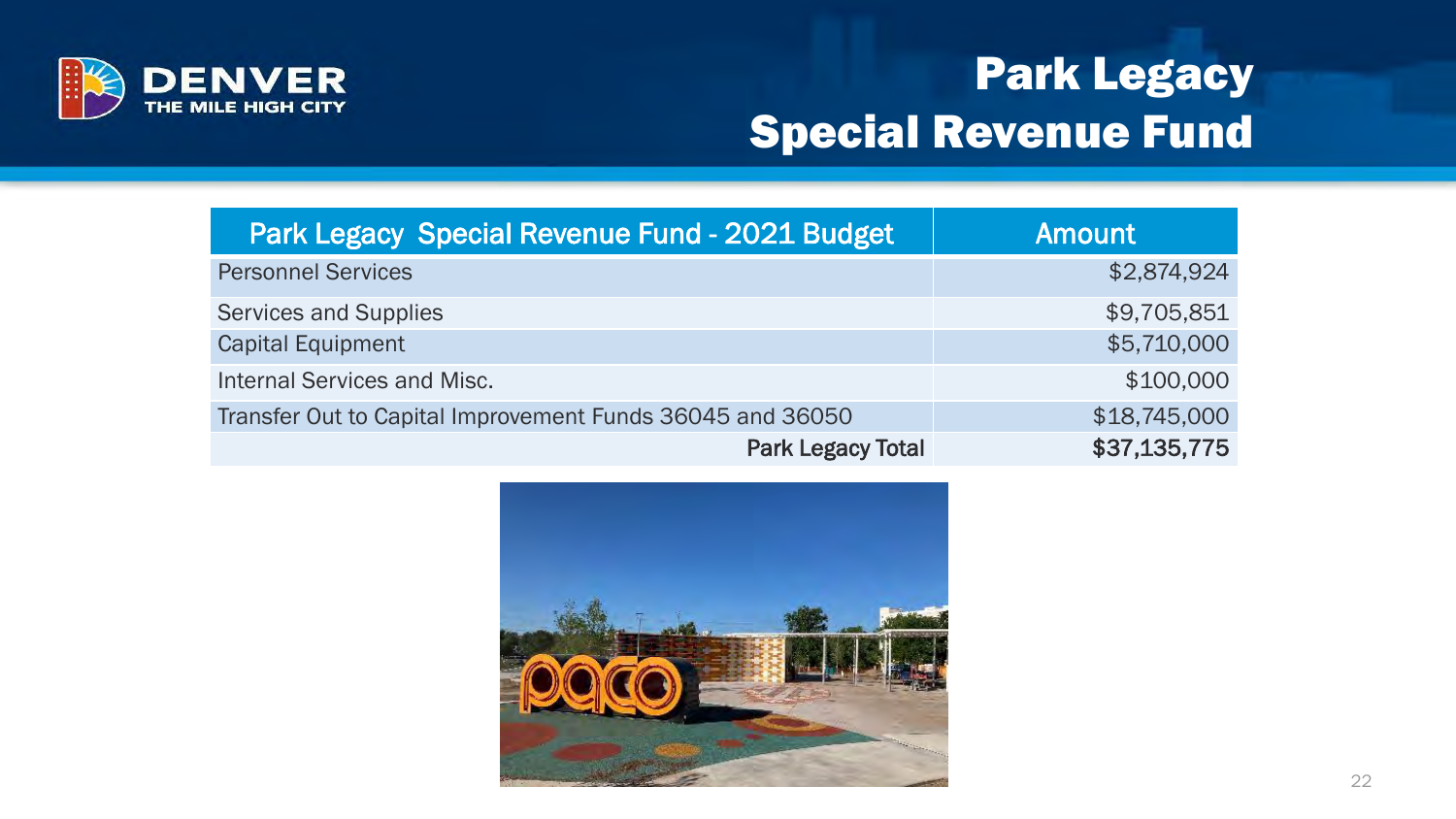

### Park Legacy Special Revenue Fund

| <b>Park Legacy Special Revenue Fund - 2021 Budget</b>     | <b>Amount</b> |
|-----------------------------------------------------------|---------------|
| <b>Personnel Services</b>                                 | \$2,874,924   |
| Services and Supplies                                     | \$9,705,851   |
| <b>Capital Equipment</b>                                  | \$5,710,000   |
| <b>Internal Services and Misc.</b>                        | \$100,000     |
| Transfer Out to Capital Improvement Funds 36045 and 36050 | \$18,745,000  |
| <b>Park Legacy Total</b>                                  | \$37,135,775  |